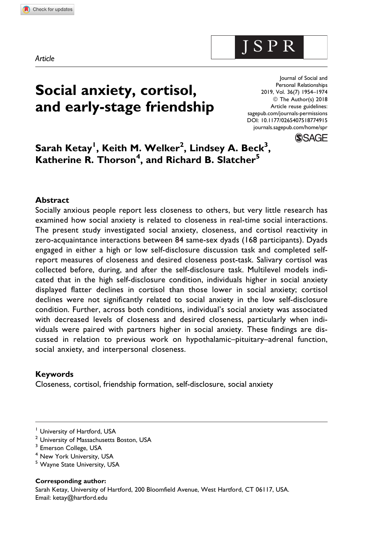Article

# Social anxiety, cortisol, and early-stage friendship

Journal of Social and Personal Relationships 2019, Vol. 36(7) 1954–1974 © The Author(s) 2018 Article reuse guidelines: [sagepub.com/journals-permissions](https://sagepub.com/journals-permissions) [DOI: 10.1177/0265407518774915](https://doi.org/10.1177/0265407518774915) [journals.sagepub.com/home/spr](http://journals.sagepub.com/home/spr)

**SSAGE** 

J S P R

 $\sf{Sarah}\; \sf{Ketay}^{\sf I},\sf{Keith}\; \sf{M}.\; \sf{Welker}^2,\sf{Lindsey}\; \sf{A}.\; \sf{Beck}^3,$ Katherine R. Thorson<sup>4</sup>, and Richard B. Slatcher<sup>5</sup>

#### Abstract

Socially anxious people report less closeness to others, but very little research has examined how social anxiety is related to closeness in real-time social interactions. The present study investigated social anxiety, closeness, and cortisol reactivity in zero-acquaintance interactions between 84 same-sex dyads (168 participants). Dyads engaged in either a high or low self-disclosure discussion task and completed selfreport measures of closeness and desired closeness post-task. Salivary cortisol was collected before, during, and after the self-disclosure task. Multilevel models indicated that in the high self-disclosure condition, individuals higher in social anxiety displayed flatter declines in cortisol than those lower in social anxiety; cortisol declines were not significantly related to social anxiety in the low self-disclosure condition. Further, across both conditions, individual's social anxiety was associated with decreased levels of closeness and desired closeness, particularly when individuals were paired with partners higher in social anxiety. These findings are discussed in relation to previous work on hypothalamic–pituitary–adrenal function, social anxiety, and interpersonal closeness.

#### Keywords

Closeness, cortisol, friendship formation, self-disclosure, social anxiety

<sup>5</sup> Wayne State University, USA

Corresponding author:

Sarah Ketay, University of Hartford, 200 Bloomfield Avenue, West Hartford, CT 06117, USA. Email: [ketay@hartford.edu](mailto:ketay@hartford.edu)

<sup>&</sup>lt;sup>1</sup> University of Hartford, USA

<sup>&</sup>lt;sup>2</sup> University of Massachusetts Boston, USA

<sup>&</sup>lt;sup>3</sup> Emerson College, USA

<sup>4</sup> New York University, USA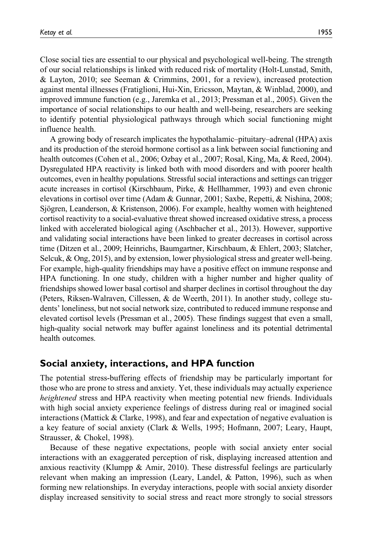Close social ties are essential to our physical and psychological well-being. The strength of our social relationships is linked with reduced risk of mortality (Holt-Lunstad, Smith, & Layton, 2010; see Seeman & Crimmins, 2001, for a review), increased protection against mental illnesses (Fratiglioni, Hui-Xin, Ericsson, Maytan, & Winblad, 2000), and improved immune function (e.g., Jaremka et al., 2013; Pressman et al., 2005). Given the importance of social relationships to our health and well-being, researchers are seeking to identify potential physiological pathways through which social functioning might influence health.

A growing body of research implicates the hypothalamic–pituitary–adrenal (HPA) axis and its production of the steroid hormone cortisol as a link between social functioning and health outcomes (Cohen et al., 2006; Ozbay et al., 2007; Rosal, King, Ma, & Reed, 2004). Dysregulated HPA reactivity is linked both with mood disorders and with poorer health outcomes, even in healthy populations. Stressful social interactions and settings can trigger acute increases in cortisol (Kirschbaum, Pirke, & Hellhammer, 1993) and even chronic elevations in cortisol over time (Adam & Gunnar, 2001; Saxbe, Repetti, & Nishina, 2008; Sjögren, Leanderson,  $&$  Kristenson, 2006). For example, healthy women with heightened cortisol reactivity to a social-evaluative threat showed increased oxidative stress, a process linked with accelerated biological aging (Aschbacher et al., 2013). However, supportive and validating social interactions have been linked to greater decreases in cortisol across time (Ditzen et al., 2009; Heinrichs, Baumgartner, Kirschbaum, & Ehlert, 2003; Slatcher, Selcuk, & Ong, 2015), and by extension, lower physiological stress and greater well-being. For example, high-quality friendships may have a positive effect on immune response and HPA functioning. In one study, children with a higher number and higher quality of friendships showed lower basal cortisol and sharper declines in cortisol throughout the day (Peters, Riksen-Walraven, Cillessen, & de Weerth, 2011). In another study, college students' loneliness, but not social network size, contributed to reduced immune response and elevated cortisol levels (Pressman et al., 2005). These findings suggest that even a small, high-quality social network may buffer against loneliness and its potential detrimental health outcomes.

# Social anxiety, interactions, and HPA function

The potential stress-buffering effects of friendship may be particularly important for those who are prone to stress and anxiety. Yet, these individuals may actually experience heightened stress and HPA reactivity when meeting potential new friends. Individuals with high social anxiety experience feelings of distress during real or imagined social interactions (Mattick  $&$  Clarke, 1998), and fear and expectation of negative evaluation is a key feature of social anxiety (Clark & Wells, 1995; Hofmann, 2007; Leary, Haupt, Strausser, & Chokel, 1998).

Because of these negative expectations, people with social anxiety enter social interactions with an exaggerated perception of risk, displaying increased attention and anxious reactivity (Klumpp & Amir, 2010). These distressful feelings are particularly relevant when making an impression (Leary, Landel, & Patton, 1996), such as when forming new relationships. In everyday interactions, people with social anxiety disorder display increased sensitivity to social stress and react more strongly to social stressors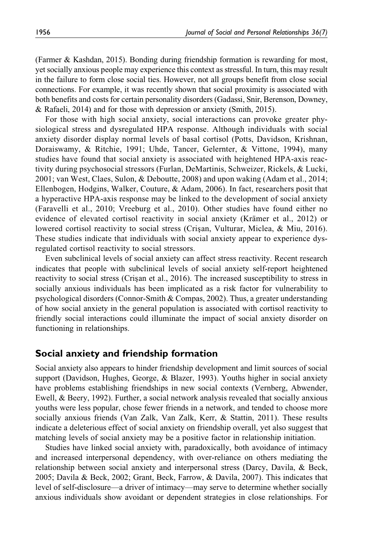(Farmer & Kashdan, 2015). Bonding during friendship formation is rewarding for most, yet socially anxious people may experience this context as stressful. In turn, this may result in the failure to form close social ties. However, not all groups benefit from close social connections. For example, it was recently shown that social proximity is associated with both benefits and costs for certain personality disorders (Gadassi, Snir, Berenson, Downey, & Rafaeli, 2014) and for those with depression or anxiety (Smith, 2015).

For those with high social anxiety, social interactions can provoke greater physiological stress and dysregulated HPA response. Although individuals with social anxiety disorder display normal levels of basal cortisol (Potts, Davidson, Krishnan, Doraiswamy, & Ritchie, 1991; Uhde, Tancer, Gelernter, & Vittone, 1994), many studies have found that social anxiety is associated with heightened HPA-axis reactivity during psychosocial stressors (Furlan, DeMartinis, Schweizer, Rickels, & Lucki, 2001; van West, Claes, Sulon, & Deboutte, 2008) and upon waking (Adam et al., 2014; Ellenbogen, Hodgins, Walker, Couture, & Adam, 2006). In fact, researchers posit that a hyperactive HPA-axis response may be linked to the development of social anxiety (Faravelli et al., 2010; Vreeburg et al., 2010). Other studies have found either no evidence of elevated cortisol reactivity in social anxiety (Krämer et al., 2012) or lowered cortisol reactivity to social stress (Crisan, Vulturar, Miclea, & Miu, 2016). These studies indicate that individuals with social anxiety appear to experience dysregulated cortisol reactivity to social stressors.

Even subclinical levels of social anxiety can affect stress reactivity. Recent research indicates that people with subclinical levels of social anxiety self-report heightened reactivity to social stress (Crisan et al., 2016). The increased susceptibility to stress in socially anxious individuals has been implicated as a risk factor for vulnerability to psychological disorders (Connor-Smith & Compas, 2002). Thus, a greater understanding of how social anxiety in the general population is associated with cortisol reactivity to friendly social interactions could illuminate the impact of social anxiety disorder on functioning in relationships.

# Social anxiety and friendship formation

Social anxiety also appears to hinder friendship development and limit sources of social support (Davidson, Hughes, George, & Blazer, 1993). Youths higher in social anxiety have problems establishing friendships in new social contexts (Vernberg, Abwender, Ewell, & Beery, 1992). Further, a social network analysis revealed that socially anxious youths were less popular, chose fewer friends in a network, and tended to choose more socially anxious friends (Van Zalk, Van Zalk, Kerr, & Stattin, 2011). These results indicate a deleterious effect of social anxiety on friendship overall, yet also suggest that matching levels of social anxiety may be a positive factor in relationship initiation.

Studies have linked social anxiety with, paradoxically, both avoidance of intimacy and increased interpersonal dependency, with over-reliance on others mediating the relationship between social anxiety and interpersonal stress (Darcy, Davila, & Beck, 2005; Davila & Beck, 2002; Grant, Beck, Farrow, & Davila, 2007). This indicates that level of self-disclosure—a driver of intimacy—may serve to determine whether socially anxious individuals show avoidant or dependent strategies in close relationships. For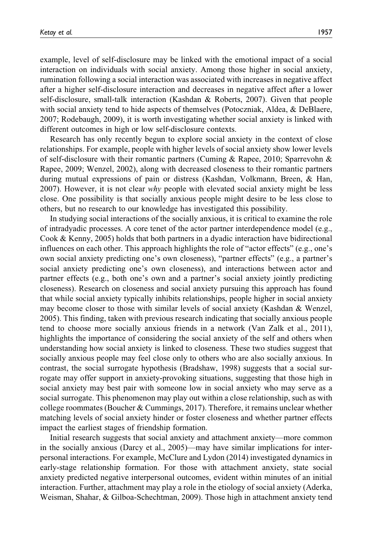example, level of self-disclosure may be linked with the emotional impact of a social interaction on individuals with social anxiety. Among those higher in social anxiety, rumination following a social interaction was associated with increases in negative affect after a higher self-disclosure interaction and decreases in negative affect after a lower self-disclosure, small-talk interaction (Kashdan & Roberts, 2007). Given that people with social anxiety tend to hide aspects of themselves (Potoczniak, Aldea, & DeBlaere, 2007; Rodebaugh, 2009), it is worth investigating whether social anxiety is linked with different outcomes in high or low self-disclosure contexts.

Research has only recently begun to explore social anxiety in the context of close relationships. For example, people with higher levels of social anxiety show lower levels of self-disclosure with their romantic partners (Cuming & Rapee, 2010; Sparrevohn & Rapee, 2009; Wenzel, 2002), along with decreased closeness to their romantic partners during mutual expressions of pain or distress (Kashdan, Volkmann, Breen, & Han, 2007). However, it is not clear why people with elevated social anxiety might be less close. One possibility is that socially anxious people might desire to be less close to others, but no research to our knowledge has investigated this possibility.

In studying social interactions of the socially anxious, it is critical to examine the role of intradyadic processes. A core tenet of the actor partner interdependence model (e.g., Cook & Kenny, 2005) holds that both partners in a dyadic interaction have bidirectional influences on each other. This approach highlights the role of "actor effects" (e.g., one's own social anxiety predicting one's own closeness), "partner effects" (e.g., a partner's social anxiety predicting one's own closeness), and interactions between actor and partner effects (e.g., both one's own and a partner's social anxiety jointly predicting closeness). Research on closeness and social anxiety pursuing this approach has found that while social anxiety typically inhibits relationships, people higher in social anxiety may become closer to those with similar levels of social anxiety (Kashdan & Wenzel, 2005). This finding, taken with previous research indicating that socially anxious people tend to choose more socially anxious friends in a network (Van Zalk et al., 2011), highlights the importance of considering the social anxiety of the self and others when understanding how social anxiety is linked to closeness. These two studies suggest that socially anxious people may feel close only to others who are also socially anxious. In contrast, the social surrogate hypothesis (Bradshaw, 1998) suggests that a social surrogate may offer support in anxiety-provoking situations, suggesting that those high in social anxiety may best pair with someone low in social anxiety who may serve as a social surrogate. This phenomenon may play out within a close relationship, such as with college roommates (Boucher & Cummings, 2017). Therefore, it remains unclear whether matching levels of social anxiety hinder or foster closeness and whether partner effects impact the earliest stages of friendship formation.

Initial research suggests that social anxiety and attachment anxiety—more common in the socially anxious (Darcy et al., 2005)—may have similar implications for interpersonal interactions. For example, McClure and Lydon (2014) investigated dynamics in early-stage relationship formation. For those with attachment anxiety, state social anxiety predicted negative interpersonal outcomes, evident within minutes of an initial interaction. Further, attachment may play a role in the etiology of social anxiety (Aderka, Weisman, Shahar, & Gilboa-Schechtman, 2009). Those high in attachment anxiety tend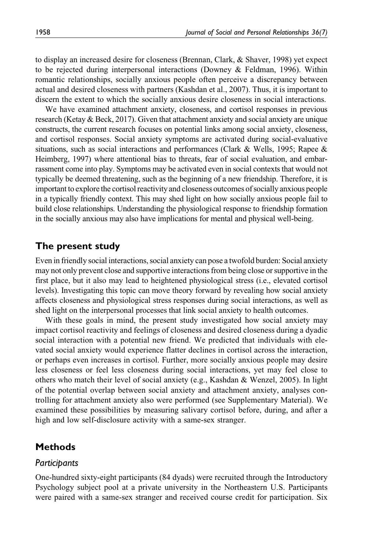to display an increased desire for closeness (Brennan, Clark, & Shaver, 1998) yet expect to be rejected during interpersonal interactions (Downey & Feldman, 1996). Within romantic relationships, socially anxious people often perceive a discrepancy between actual and desired closeness with partners (Kashdan et al., 2007). Thus, it is important to discern the extent to which the socially anxious desire closeness in social interactions.

We have examined attachment anxiety, closeness, and cortisol responses in previous research (Ketay & Beck, 2017). Given that attachment anxiety and social anxiety are unique constructs, the current research focuses on potential links among social anxiety, closeness, and cortisol responses. Social anxiety symptoms are activated during social-evaluative situations, such as social interactions and performances (Clark & Wells, 1995; Rapee  $\&$ Heimberg, 1997) where attentional bias to threats, fear of social evaluation, and embarrassment come into play. Symptoms may be activated even in social contexts that would not typically be deemed threatening, such as the beginning of a new friendship. Therefore, it is important to explore the cortisol reactivity and closeness outcomes of socially anxious people in a typically friendly context. This may shed light on how socially anxious people fail to build close relationships. Understanding the physiological response to friendship formation in the socially anxious may also have implications for mental and physical well-being.

# The present study

Even in friendly social interactions, social anxiety can pose a twofold burden: Social anxiety may not only prevent close and supportive interactions from being close or supportive in the first place, but it also may lead to heightened physiological stress (i.e., elevated cortisol levels). Investigating this topic can move theory forward by revealing how social anxiety affects closeness and physiological stress responses during social interactions, as well as shed light on the interpersonal processes that link social anxiety to health outcomes.

With these goals in mind, the present study investigated how social anxiety may impact cortisol reactivity and feelings of closeness and desired closeness during a dyadic social interaction with a potential new friend. We predicted that individuals with elevated social anxiety would experience flatter declines in cortisol across the interaction, or perhaps even increases in cortisol. Further, more socially anxious people may desire less closeness or feel less closeness during social interactions, yet may feel close to others who match their level of social anxiety (e.g., Kashdan & Wenzel, 2005). In light of the potential overlap between social anxiety and attachment anxiety, analyses controlling for attachment anxiety also were performed (see Supplementary Material). We examined these possibilities by measuring salivary cortisol before, during, and after a high and low self-disclosure activity with a same-sex stranger.

# **Methods**

#### **Participants**

One-hundred sixty-eight participants (84 dyads) were recruited through the Introductory Psychology subject pool at a private university in the Northeastern U.S. Participants were paired with a same-sex stranger and received course credit for participation. Six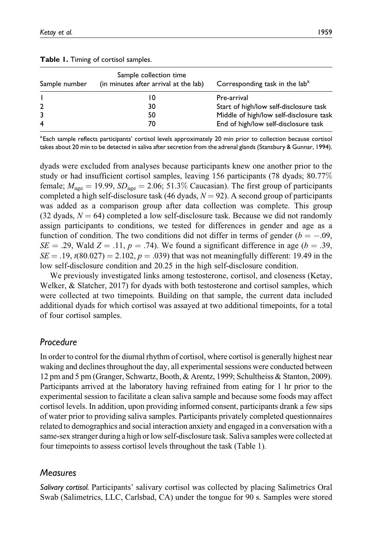| Sample number      | Sample collection time<br>(in minutes after arrival at the lab) | Corresponding task in the lab <sup>a</sup> |  |  |
|--------------------|-----------------------------------------------------------------|--------------------------------------------|--|--|
|                    | 10                                                              | Pre-arrival                                |  |  |
|                    | 30                                                              | Start of high/low self-disclosure task     |  |  |
|                    | 50                                                              | Middle of high/low self-disclosure task    |  |  |
| $\overline{\bf 4}$ | 70                                                              | End of high/low self-disclosure task       |  |  |

|  |  |  |  |  | Table 1. Timing of cortisol samples. |
|--|--|--|--|--|--------------------------------------|
|--|--|--|--|--|--------------------------------------|

<sup>a</sup> Each sample reflects participants' cortisol levels approximately 20 min prior to collection because cortisol takes about 20 min to be detected in saliva after secretion from the adrenal glands (Stansbury & Gunnar, 1994).

dyads were excluded from analyses because participants knew one another prior to the study or had insufficient cortisol samples, leaving 156 participants (78 dyads; 80.77% female;  $M_{\text{age}} = 19.99$ ,  $SD_{\text{age}} = 2.06$ ; 51.3% Caucasian). The first group of participants completed a high self-disclosure task (46 dyads,  $N = 92$ ). A second group of participants was added as a comparison group after data collection was complete. This group (32 dyads,  $N = 64$ ) completed a low self-disclosure task. Because we did not randomly assign participants to conditions, we tested for differences in gender and age as a function of condition. The two conditions did not differ in terms of gender ( $b = -.09$ ,  $SE = .29$ , Wald  $Z = .11$ ,  $p = .74$ ). We found a significant difference in age ( $b = .39$ ,  $SE = .19$ ,  $t(80.027) = 2.102$ ,  $p = .039$ ) that was not meaningfully different: 19.49 in the low self-disclosure condition and 20.25 in the high self-disclosure condition.

We previously investigated links among testosterone, cortisol, and closeness (Ketay, Welker, & Slatcher, 2017) for dyads with both testosterone and cortisol samples, which were collected at two timepoints. Building on that sample, the current data included additional dyads for which cortisol was assayed at two additional timepoints, for a total of four cortisol samples.

# Procedure

In order to control for the diurnal rhythm of cortisol, where cortisol is generally highest near waking and declines throughout the day, all experimental sessions were conducted between 12 pm and 5 pm (Granger, Schwartz, Booth, & Arentz, 1999; Schultheiss & Stanton, 2009). Participants arrived at the laboratory having refrained from eating for 1 hr prior to the experimental session to facilitate a clean saliva sample and because some foods may affect cortisol levels. In addition, upon providing informed consent, participants drank a few sips of water prior to providing saliva samples. Participants privately completed questionnaires related to demographics and social interaction anxiety and engaged in a conversation with a same-sex stranger during a high or low self-disclosure task. Saliva samples were collected at four timepoints to assess cortisol levels throughout the task (Table 1).

# **Measures**

Salivary cortisol. Participants' salivary cortisol was collected by placing Salimetrics Oral Swab (Salimetrics, LLC, Carlsbad, CA) under the tongue for 90 s. Samples were stored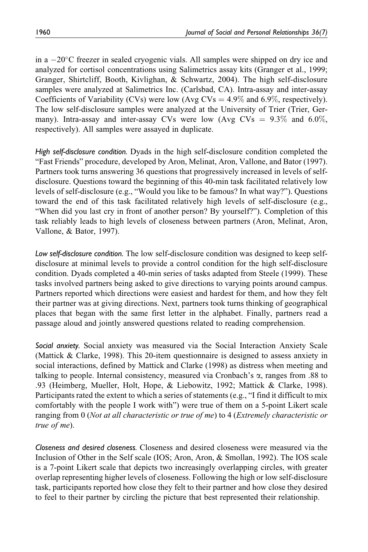in a -20°C freezer in sealed cryogenic vials. All samples were shipped on dry ice and analyzed for cortisol concentrations using Salimetrics assay kits (Granger et al., 1999; Granger, Shirtcliff, Booth, Kivlighan, & Schwartz, 2004). The high self-disclosure samples were analyzed at Salimetrics Inc. (Carlsbad, CA). Intra-assay and inter-assay Coefficients of Variability (CVs) were low (Avg CVs  $=$  4.9% and 6.9%, respectively). The low self-disclosure samples were analyzed at the University of Trier (Trier, Germany). Intra-assay and inter-assay CVs were low (Avg CVs  $= 9.3\%$  and 6.0%, respectively). All samples were assayed in duplicate.

High self-disclosure condition. Dyads in the high self-disclosure condition completed the "Fast Friends" procedure, developed by Aron, Melinat, Aron, Vallone, and Bator (1997). Partners took turns answering 36 questions that progressively increased in levels of selfdisclosure. Questions toward the beginning of this 40-min task facilitated relatively low levels of self-disclosure (e.g., "Would you like to be famous? In what way?"). Questions toward the end of this task facilitated relatively high levels of self-disclosure (e.g., "When did you last cry in front of another person? By yourself?"). Completion of this task reliably leads to high levels of closeness between partners (Aron, Melinat, Aron, Vallone, & Bator, 1997).

Low self-disclosure condition. The low self-disclosure condition was designed to keep selfdisclosure at minimal levels to provide a control condition for the high self-disclosure condition. Dyads completed a 40-min series of tasks adapted from Steele (1999). These tasks involved partners being asked to give directions to varying points around campus. Partners reported which directions were easiest and hardest for them, and how they felt their partner was at giving directions. Next, partners took turns thinking of geographical places that began with the same first letter in the alphabet. Finally, partners read a passage aloud and jointly answered questions related to reading comprehension.

Social anxiety. Social anxiety was measured via the Social Interaction Anxiety Scale (Mattick & Clarke, 1998). This 20-item questionnaire is designed to assess anxiety in social interactions, defined by Mattick and Clarke (1998) as distress when meeting and talking to people. Internal consistency, measured via Cronbach's  $\alpha$ , ranges from .88 to .93 (Heimberg, Mueller, Holt, Hope, & Liebowitz, 1992; Mattick & Clarke, 1998). Participants rated the extent to which a series of statements (e.g., "I find it difficult to mix comfortably with the people I work with") were true of them on a 5-point Likert scale ranging from 0 (Not at all characteristic or true of me) to 4 (Extremely characteristic or true of me).

Closeness and desired closeness. Closeness and desired closeness were measured via the Inclusion of Other in the Self scale (IOS; Aron, Aron, & Smollan, 1992). The IOS scale is a 7-point Likert scale that depicts two increasingly overlapping circles, with greater overlap representing higher levels of closeness. Following the high or low self-disclosure task, participants reported how close they felt to their partner and how close they desired to feel to their partner by circling the picture that best represented their relationship.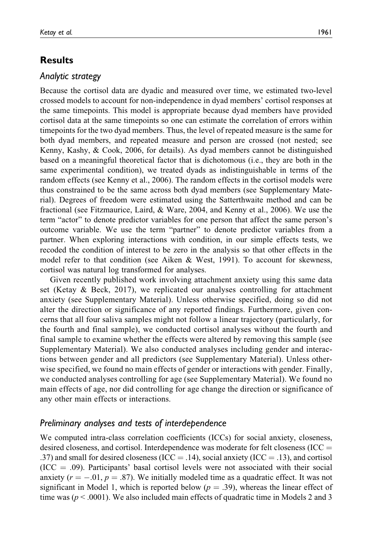# Results

## Analytic strategy

Because the cortisol data are dyadic and measured over time, we estimated two-level crossed models to account for non-independence in dyad members' cortisol responses at the same timepoints. This model is appropriate because dyad members have provided cortisol data at the same timepoints so one can estimate the correlation of errors within timepoints for the two dyad members. Thus, the level of repeated measure is the same for both dyad members, and repeated measure and person are crossed (not nested; see Kenny, Kashy, & Cook, 2006, for details). As dyad members cannot be distinguished based on a meaningful theoretical factor that is dichotomous (i.e., they are both in the same experimental condition), we treated dyads as indistinguishable in terms of the random effects (see Kenny et al., 2006). The random effects in the cortisol models were thus constrained to be the same across both dyad members (see Supplementary Material). Degrees of freedom were estimated using the Satterthwaite method and can be fractional (see Fitzmaurice, Laird, & Ware, 2004, and Kenny et al., 2006). We use the term "actor" to denote predictor variables for one person that affect the same person's outcome variable. We use the term "partner" to denote predictor variables from a partner. When exploring interactions with condition, in our simple effects tests, we recoded the condition of interest to be zero in the analysis so that other effects in the model refer to that condition (see Aiken & West, 1991). To account for skewness, cortisol was natural log transformed for analyses.

Given recently published work involving attachment anxiety using this same data set (Ketay & Beck, 2017), we replicated our analyses controlling for attachment anxiety (see Supplementary Material). Unless otherwise specified, doing so did not alter the direction or significance of any reported findings. Furthermore, given concerns that all four saliva samples might not follow a linear trajectory (particularly, for the fourth and final sample), we conducted cortisol analyses without the fourth and final sample to examine whether the effects were altered by removing this sample (see Supplementary Material). We also conducted analyses including gender and interactions between gender and all predictors (see Supplementary Material). Unless otherwise specified, we found no main effects of gender or interactions with gender. Finally, we conducted analyses controlling for age (see Supplementary Material). We found no main effects of age, nor did controlling for age change the direction or significance of any other main effects or interactions.

## Preliminary analyses and tests of interdependence

We computed intra-class correlation coefficients (ICCs) for social anxiety, closeness, desired closeness, and cortisol. Interdependence was moderate for felt closeness (ICC  $=$ .37) and small for desired closeness (ICC  $=$  .14), social anxiety (ICC  $=$  .13), and cortisol  $(ICC = .09)$ . Participants' basal cortisol levels were not associated with their social anxiety ( $r = -.01$ ,  $p = .87$ ). We initially modeled time as a quadratic effect. It was not significant in Model 1, which is reported below ( $p = .39$ ), whereas the linear effect of time was ( $p < .0001$ ). We also included main effects of quadratic time in Models 2 and 3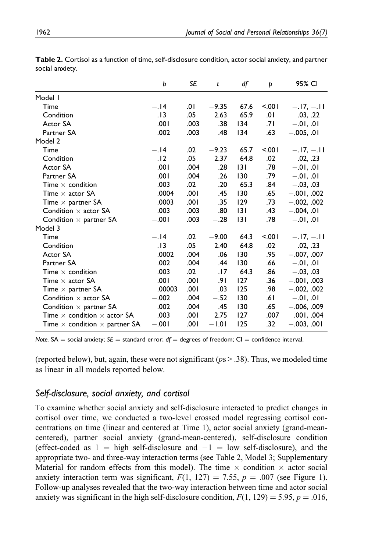| b       | SE   | t       | df   | Þ       | 95% CI        |
|---------|------|---------|------|---------|---------------|
|         |      |         |      |         |               |
| $-.14$  | 0١.  | $-9.35$ | 67.6 | $500 -$ | $-.17, -.11$  |
| .13     | .05  | 2.63    | 65.9 | .01     | .03, .22      |
| .001    | .003 | .38     | 134  | .71     | $-.01, .01$   |
| .002    | .003 | .48     | 134  | .63     | $-.005, .01$  |
|         |      |         |      |         |               |
| $-.14$  | .02  | $-9.23$ | 65.7 | $500 -$ | $-.17,-.11$   |
| .12     | .05  | 2.37    | 64.8 | .02     | .02, .23      |
| .001    | .004 | .28     | 3    | .78     | $-.01, .01$   |
| .001    | .004 | .26     | 130  | .79     | $-.01, .01$   |
| .003    | .02  | .20     | 65.3 | .84     | $-.03, .03$   |
| .0004   | .001 | .45     | 130  | .65     | $-.001, .002$ |
| .0003   | .001 | .35     | 129  | .73     | $-.002, .002$ |
| .003    | .003 | .80     | 3    | .43     | $-.004, .01$  |
| $-.001$ | .003 | $-.28$  | 3    | .78     | $-.01, .01$   |
|         |      |         |      |         |               |
| $-.14$  | .02  | $-9.00$ | 64.3 | 5001    | $-.17,-.11$   |
| . 13    | .05  | 2.40    | 64.8 | .02     | .02, .23      |
| .0002   | .004 | .06     | 130  | .95     | $-.007, .007$ |
| .002    | .004 | .44     | 130  | .66     | $-.01, .01$   |
| .003    | .02  | .17     | 64.3 | .86     | $-.03, .03$   |
| .001    | .001 | .9۱     | 127  | .36     | $-.001, .003$ |
| .00003  | .001 | .03     | 125  | .98     | $-.002, .002$ |
| $-.002$ | .004 | $-.52$  | 130  | .6۱     | $-.01, .01$   |
| .002    | .004 | .45     | 130  | .65     | $-.006, .009$ |
| .003    | .001 | 2.75    | 127  | .007    | .001, .004    |
| $-.001$ | .001 | $-1.01$ | 125  | .32     | $-.003, .001$ |
|         |      |         |      |         |               |

Table 2. Cortisol as a function of time, self-disclosure condition, actor social anxiety, and partner social anxiety.

Note. SA = social anxiety; SE = standard error;  $df =$  degrees of freedom; CI = confidence interval.

(reported below), but, again, these were not significant ( $ps > .38$ ). Thus, we modeled time as linear in all models reported below.

# Self-disclosure, social anxiety, and cortisol

To examine whether social anxiety and self-disclosure interacted to predict changes in cortisol over time, we conducted a two-level crossed model regressing cortisol concentrations on time (linear and centered at Time 1), actor social anxiety (grand-meancentered), partner social anxiety (grand-mean-centered), self-disclosure condition (effect-coded as  $1 =$  high self-disclosure and  $-1 =$  low self-disclosure), and the appropriate two- and three-way interaction terms (see Table 2, Model 3; Supplementary Material for random effects from this model). The time  $\times$  condition  $\times$  actor social anxiety interaction term was significant,  $F(1, 127) = 7.55$ ,  $p = .007$  (see Figure 1). Follow-up analyses revealed that the two-way interaction between time and actor social anxiety was significant in the high self-disclosure condition,  $F(1, 129) = 5.95$ ,  $p = .016$ ,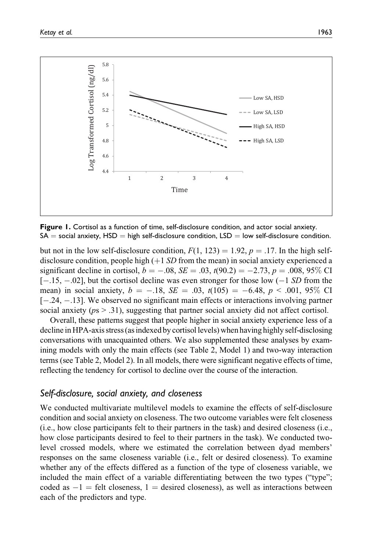

Figure 1. Cortisol as a function of time, self-disclosure condition, and actor social anxiety.  $SA =$  social anxiety,  $HSD =$  high self-disclosure condition,  $LSD =$  low self-disclosure condition.

but not in the low self-disclosure condition,  $F(1, 123) = 1.92$ ,  $p = .17$ . In the high selfdisclosure condition, people high  $(+1 S D)$  from the mean) in social anxiety experienced a significant decline in cortisol,  $b = -.08$ ,  $SE = .03$ ,  $t(90.2) = -2.73$ ,  $p = .008$ , 95% CI  $[-.15, -.02]$ , but the cortisol decline was even stronger for those low  $(-1 SD$  from the mean) in social anxiety,  $b = -.18$ ,  $SE = .03$ ,  $t(105) = -6.48$ ,  $p < .001$ , 95% CI [ $-.24, -.13$ ]. We observed no significant main effects or interactions involving partner social anxiety ( $ps > .31$ ), suggesting that partner social anxiety did not affect cortisol.

Overall, these patterns suggest that people higher in social anxiety experience less of a decline in HPA-axis stress (as indexed by cortisol levels) when having highly self-disclosing conversations with unacquainted others. We also supplemented these analyses by examining models with only the main effects (see Table 2, Model 1) and two-way interaction terms (see Table 2, Model 2). In all models, there were significant negative effects of time, reflecting the tendency for cortisol to decline over the course of the interaction.

# Self-disclosure, social anxiety, and closeness

We conducted multivariate multilevel models to examine the effects of self-disclosure condition and social anxiety on closeness. The two outcome variables were felt closeness (i.e., how close participants felt to their partners in the task) and desired closeness (i.e., how close participants desired to feel to their partners in the task). We conducted twolevel crossed models, where we estimated the correlation between dyad members' responses on the same closeness variable (i.e., felt or desired closeness). To examine whether any of the effects differed as a function of the type of closeness variable, we included the main effect of a variable differentiating between the two types ("type"; coded as  $-1$  = felt closeness, 1 = desired closeness), as well as interactions between each of the predictors and type.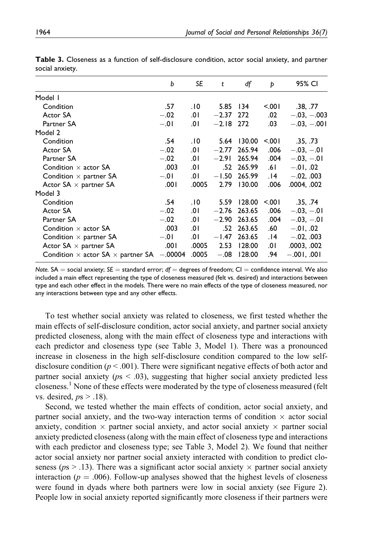|                                                 | b         | SE    | t           | df             | Þ       | 95% CI        |
|-------------------------------------------------|-----------|-------|-------------|----------------|---------|---------------|
| Model I                                         |           |       |             |                |         |               |
| Condition                                       | .57       | .10   | 5.85 134    |                | $500 -$ | .38, .77      |
| Actor SA                                        | $-.02$    | .01   | $-2.37$ 272 |                | .02     | $-.03, -.003$ |
| Partner SA                                      | $-.01$    | .0۱   | $-2.18$ 272 |                | .03     | $-.03, -.001$ |
| Model 2                                         |           |       |             |                |         |               |
| Condition                                       | .54       | .10   | 5.64        | 130.00         | $500 -$ | .35, .73      |
| Actor SA                                        | $-.02$    | .0۱   | $-2.77$     | 265.94         | .006    | $-.03, -.01$  |
| Partner SA                                      | $-.02$    | .01   | $-2.91$     | 265.94         | .004    | $-.03, -.01$  |
| Condition $\times$ actor SA                     | .003      | 0۱.   |             | .52 265.99     | .61     | $-.01, .02$   |
| Condition $\times$ partner SA                   | $-.01$    | .01   | $-1.50$     | 265.99         | 14.     | $-.02, .003$  |
| Actor $SA \times$ partner SA                    | .001      | .0005 | 2.79        | 130.00         | .006    | .0004, .002   |
| Model 3                                         |           |       |             |                |         |               |
| Condition                                       | .54       | .10   |             | 5.59 128.00    | $500 -$ | .35, .74      |
| Actor SA                                        | $-.02$    | .01   |             | $-2.76$ 263.65 | .006    | $-.03, -.01$  |
| Partner SA                                      | $-.02$    | .0۱   | $-2.90$     | 263.65         | .004    | $-.03, -.01$  |
| Condition $\times$ actor SA                     | .003      | .0۱   |             | .52 263.65     | .60     | $-.01, .02$   |
| Condition $\times$ partner SA                   | $-.01$    | .٥١   | $-1.47$     | 263.65         | 14.     | $-.02, .003$  |
| Actor $SA \times$ partner SA                    | ا 00.     | .0005 | 2.53        | 128.00         | .0۱     | .0003, .002   |
| Condition $\times$ actor SA $\times$ partner SA | $-.00004$ | .0005 | $-.08$      | 128.00         | .94     | $-.001, .001$ |

Table 3. Closeness as a function of self-disclosure condition, actor social anxiety, and partner social anxiety.

Note. SA = social anxiety; SE = standard error; df = degrees of freedom; CI = confidence interval. We also included a main effect representing the type of closeness measured (felt vs. desired) and interactions between type and each other effect in the models. There were no main effects of the type of closeness measured, nor any interactions between type and any other effects.

To test whether social anxiety was related to closeness, we first tested whether the main effects of self-disclosure condition, actor social anxiety, and partner social anxiety predicted closeness, along with the main effect of closeness type and interactions with each predictor and closeness type (see Table 3, Model 1). There was a pronounced increase in closeness in the high self-disclosure condition compared to the low selfdisclosure condition ( $p < .001$ ). There were significant negative effects of both actor and partner social anxiety ( $ps < .03$ ), suggesting that higher social anxiety predicted less closeness.<sup>1</sup> None of these effects were moderated by the type of closeness measured (felt vs. desired,  $ps > .18$ ).

Second, we tested whether the main effects of condition, actor social anxiety, and partner social anxiety, and the two-way interaction terms of condition  $\times$  actor social anxiety, condition  $\times$  partner social anxiety, and actor social anxiety  $\times$  partner social anxiety predicted closeness (along with the main effect of closeness type and interactions with each predictor and closeness type; see Table 3, Model 2). We found that neither actor social anxiety nor partner social anxiety interacted with condition to predict closeness ( $ps > .13$ ). There was a significant actor social anxiety  $\times$  partner social anxiety interaction ( $p = .006$ ). Follow-up analyses showed that the highest levels of closeness were found in dyads where both partners were low in social anxiety (see Figure 2). People low in social anxiety reported significantly more closeness if their partners were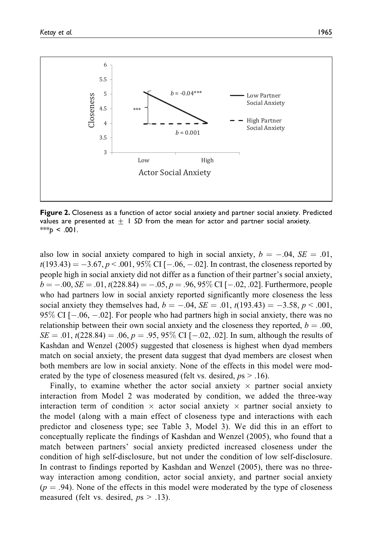

Figure 2. Closeness as a function of actor social anxiety and partner social anxiety. Predicted values are presented at  $\pm$  1 SD from the mean for actor and partner social anxiety. \*\*\*p < .001.

also low in social anxiety compared to high in social anxiety,  $b = -.04$ ,  $SE = .01$ ,  $t(193.43) = -3.67, p < .001, 95\% \ \rm CI \ [-.06, -.02].$  In contrast, the closeness reported by people high in social anxiety did not differ as a function of their partner's social anxiety,  $b = -.00, SE = .01, t(228.84) = -.05, p = .96, 95\%$  CI [ $-.02, .02$ ]. Furthermore, people who had partners low in social anxiety reported significantly more closeness the less social anxiety they themselves had,  $b = -.04$ ,  $SE = .01$ ,  $t(193.43) = -3.58$ ,  $p < .001$ , 95% CI [-.06, -.02]. For people who had partners high in social anxiety, there was no relationship between their own social anxiety and the closeness they reported,  $b = .00$ ,  $SE = .01$ ,  $t(228.84) = .06$ ,  $p = .95$ ,  $95\%$  CI [-.02, .02]. In sum, although the results of Kashdan and Wenzel (2005) suggested that closeness is highest when dyad members match on social anxiety, the present data suggest that dyad members are closest when both members are low in social anxiety. None of the effects in this model were moderated by the type of closeness measured (felt vs. desired,  $ps > .16$ ).

Finally, to examine whether the actor social anxiety  $\times$  partner social anxiety interaction from Model 2 was moderated by condition, we added the three-way interaction term of condition  $\times$  actor social anxiety  $\times$  partner social anxiety to the model (along with a main effect of closeness type and interactions with each predictor and closeness type; see Table 3, Model 3). We did this in an effort to conceptually replicate the findings of Kashdan and Wenzel (2005), who found that a match between partners' social anxiety predicted increased closeness under the condition of high self-disclosure, but not under the condition of low self-disclosure. In contrast to findings reported by Kashdan and Wenzel (2005), there was no threeway interaction among condition, actor social anxiety, and partner social anxiety  $(p = .94)$ . None of the effects in this model were moderated by the type of closeness measured (felt vs. desired,  $ps > .13$ ).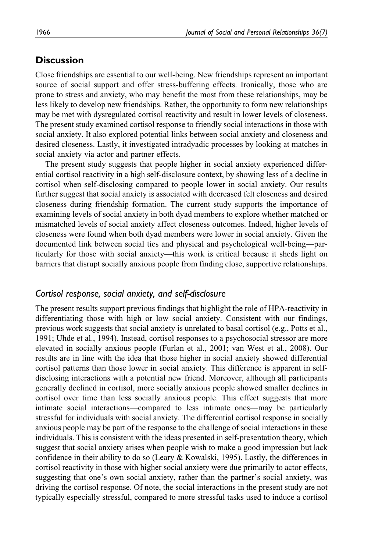# **Discussion**

Close friendships are essential to our well-being. New friendships represent an important source of social support and offer stress-buffering effects. Ironically, those who are prone to stress and anxiety, who may benefit the most from these relationships, may be less likely to develop new friendships. Rather, the opportunity to form new relationships may be met with dysregulated cortisol reactivity and result in lower levels of closeness. The present study examined cortisol response to friendly social interactions in those with social anxiety. It also explored potential links between social anxiety and closeness and desired closeness. Lastly, it investigated intradyadic processes by looking at matches in social anxiety via actor and partner effects.

The present study suggests that people higher in social anxiety experienced differential cortisol reactivity in a high self-disclosure context, by showing less of a decline in cortisol when self-disclosing compared to people lower in social anxiety. Our results further suggest that social anxiety is associated with decreased felt closeness and desired closeness during friendship formation. The current study supports the importance of examining levels of social anxiety in both dyad members to explore whether matched or mismatched levels of social anxiety affect closeness outcomes. Indeed, higher levels of closeness were found when both dyad members were lower in social anxiety. Given the documented link between social ties and physical and psychological well-being—particularly for those with social anxiety—this work is critical because it sheds light on barriers that disrupt socially anxious people from finding close, supportive relationships.

#### Cortisol response, social anxiety, and self-disclosure

The present results support previous findings that highlight the role of HPA-reactivity in differentiating those with high or low social anxiety. Consistent with our findings, previous work suggests that social anxiety is unrelated to basal cortisol (e.g., Potts et al., 1991; Uhde et al., 1994). Instead, cortisol responses to a psychosocial stressor are more elevated in socially anxious people (Furlan et al., 2001; van West et al., 2008). Our results are in line with the idea that those higher in social anxiety showed differential cortisol patterns than those lower in social anxiety. This difference is apparent in selfdisclosing interactions with a potential new friend. Moreover, although all participants generally declined in cortisol, more socially anxious people showed smaller declines in cortisol over time than less socially anxious people. This effect suggests that more intimate social interactions—compared to less intimate ones—may be particularly stressful for individuals with social anxiety. The differential cortisol response in socially anxious people may be part of the response to the challenge of social interactions in these individuals. This is consistent with the ideas presented in self-presentation theory, which suggest that social anxiety arises when people wish to make a good impression but lack confidence in their ability to do so (Leary  $&$  Kowalski, 1995). Lastly, the differences in cortisol reactivity in those with higher social anxiety were due primarily to actor effects, suggesting that one's own social anxiety, rather than the partner's social anxiety, was driving the cortisol response. Of note, the social interactions in the present study are not typically especially stressful, compared to more stressful tasks used to induce a cortisol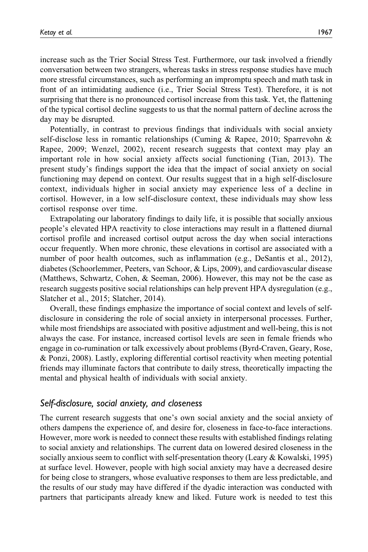increase such as the Trier Social Stress Test. Furthermore, our task involved a friendly conversation between two strangers, whereas tasks in stress response studies have much more stressful circumstances, such as performing an impromptu speech and math task in front of an intimidating audience (i.e., Trier Social Stress Test). Therefore, it is not surprising that there is no pronounced cortisol increase from this task. Yet, the flattening of the typical cortisol decline suggests to us that the normal pattern of decline across the day may be disrupted.

Potentially, in contrast to previous findings that individuals with social anxiety self-disclose less in romantic relationships (Cuming & Rapee, 2010; Sparrevohn & Rapee, 2009; Wenzel, 2002), recent research suggests that context may play an important role in how social anxiety affects social functioning (Tian, 2013). The present study's findings support the idea that the impact of social anxiety on social functioning may depend on context. Our results suggest that in a high self-disclosure context, individuals higher in social anxiety may experience less of a decline in cortisol. However, in a low self-disclosure context, these individuals may show less cortisol response over time.

Extrapolating our laboratory findings to daily life, it is possible that socially anxious people's elevated HPA reactivity to close interactions may result in a flattened diurnal cortisol profile and increased cortisol output across the day when social interactions occur frequently. When more chronic, these elevations in cortisol are associated with a number of poor health outcomes, such as inflammation (e.g., DeSantis et al., 2012), diabetes (Schoorlemmer, Peeters, van Schoor, & Lips, 2009), and cardiovascular disease (Matthews, Schwartz, Cohen, & Seeman, 2006). However, this may not be the case as research suggests positive social relationships can help prevent HPA dysregulation (e.g., Slatcher et al., 2015; Slatcher, 2014).

Overall, these findings emphasize the importance of social context and levels of selfdisclosure in considering the role of social anxiety in interpersonal processes. Further, while most friendships are associated with positive adjustment and well-being, this is not always the case. For instance, increased cortisol levels are seen in female friends who engage in co-rumination or talk excessively about problems (Byrd-Craven, Geary, Rose, & Ponzi, 2008). Lastly, exploring differential cortisol reactivity when meeting potential friends may illuminate factors that contribute to daily stress, theoretically impacting the mental and physical health of individuals with social anxiety.

#### Self-disclosure, social anxiety, and closeness

The current research suggests that one's own social anxiety and the social anxiety of others dampens the experience of, and desire for, closeness in face-to-face interactions. However, more work is needed to connect these results with established findings relating to social anxiety and relationships. The current data on lowered desired closeness in the socially anxious seem to conflict with self-presentation theory (Leary  $\&$  Kowalski, 1995) at surface level. However, people with high social anxiety may have a decreased desire for being close to strangers, whose evaluative responses to them are less predictable, and the results of our study may have differed if the dyadic interaction was conducted with partners that participants already knew and liked. Future work is needed to test this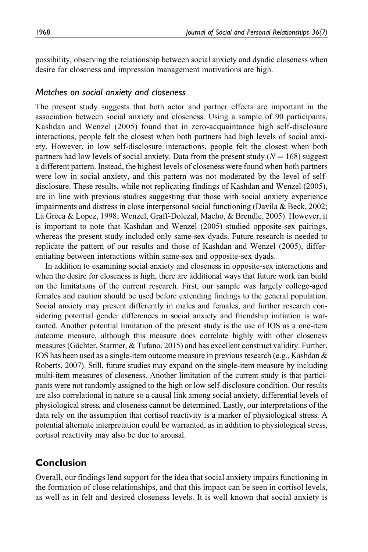possibility, observing the relationship between social anxiety and dyadic closeness when desire for closeness and impression management motivations are high.

#### Matches on social anxiety and closeness

The present study suggests that both actor and partner effects are important in the association between social anxiety and closeness. Using a sample of 90 participants, Kashdan and Wenzel (2005) found that in zero-acquaintance high self-disclosure interactions, people felt the closest when both partners had high levels of social anxiety. However, in low self-disclosure interactions, people felt the closest when both partners had low levels of social anxiety. Data from the present study  $(N = 168)$  suggest a different pattern. Instead, the highest levels of closeness were found when both partners were low in social anxiety, and this pattern was not moderated by the level of selfdisclosure. These results, while not replicating findings of Kashdan and Wenzel (2005), are in line with previous studies suggesting that those with social anxiety experience impairments and distress in close interpersonal social functioning (Davila & Beck, 2002; La Greca & Lopez, 1998; Wenzel, Graff-Dolezal, Macho, & Brendle, 2005). However, it is important to note that Kashdan and Wenzel (2005) studied opposite-sex pairings, whereas the present study included only same-sex dyads. Future research is needed to replicate the pattern of our results and those of Kashdan and Wenzel (2005), differentiating between interactions within same-sex and opposite-sex dyads.

In addition to examining social anxiety and closeness in opposite-sex interactions and when the desire for closeness is high, there are additional ways that future work can build on the limitations of the current research. First, our sample was largely college-aged females and caution should be used before extending findings to the general population. Social anxiety may present differently in males and females, and further research considering potential gender differences in social anxiety and friendship initiation is warranted. Another potential limitation of the present study is the use of IOS as a one-item outcome measure, although this measure does correlate highly with other closeness measures (Gächter, Starmer,  $&$  Tufano, 2015) and has excellent construct validity. Further, IOS has been used as a single-item outcome measure in previous research (e.g., Kashdan & Roberts, 2007). Still, future studies may expand on the single-item measure by including multi-item measures of closeness. Another limitation of the current study is that participants were not randomly assigned to the high or low self-disclosure condition. Our results are also correlational in nature so a causal link among social anxiety, differential levels of physiological stress, and closeness cannot be determined. Lastly, our interpretations of the data rely on the assumption that cortisol reactivity is a marker of physiological stress. A potential alternate interpretation could be warranted, as in addition to physiological stress, cortisol reactivity may also be due to arousal.

# Conclusion

Overall, our findings lend support for the idea that social anxiety impairs functioning in the formation of close relationships, and that this impact can be seen in cortisol levels, as well as in felt and desired closeness levels. It is well known that social anxiety is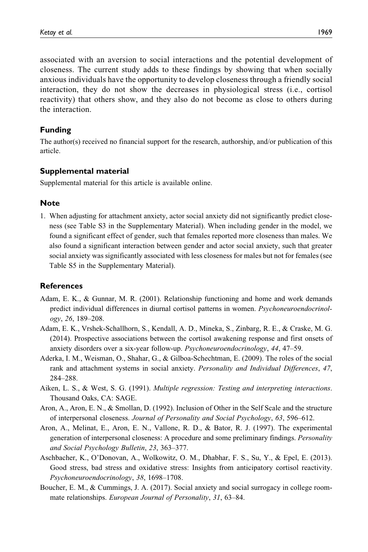associated with an aversion to social interactions and the potential development of closeness. The current study adds to these findings by showing that when socially anxious individuals have the opportunity to develop closeness through a friendly social interaction, they do not show the decreases in physiological stress (i.e., cortisol reactivity) that others show, and they also do not become as close to others during

Funding

the interaction.

The author(s) received no financial support for the research, authorship, and/or publication of this article.

## Supplemental material

Supplemental material for this article is available online.

#### **Note**

1. When adjusting for attachment anxiety, actor social anxiety did not significantly predict closeness (see Table S3 in the Supplementary Material). When including gender in the model, we found a significant effect of gender, such that females reported more closeness than males. We also found a significant interaction between gender and actor social anxiety, such that greater social anxiety was significantly associated with less closeness for males but not for females (see Table S5 in the Supplementary Material).

#### **References**

- Adam, E. K., & Gunnar, M. R. (2001). Relationship functioning and home and work demands predict individual differences in diurnal cortisol patterns in women. Psychoneuroendocrinology, 26, 189–208.
- Adam, E. K., Vrshek-Schallhorn, S., Kendall, A. D., Mineka, S., Zinbarg, R. E., & Craske, M. G. (2014). Prospective associations between the cortisol awakening response and first onsets of anxiety disorders over a six-year follow-up. Psychoneuroendocrinology, 44, 47–59.
- Aderka, I. M., Weisman, O., Shahar, G., & Gilboa-Schechtman, E. (2009). The roles of the social rank and attachment systems in social anxiety. Personality and Individual Differences, 47, 284–288.
- Aiken, L. S., & West, S. G. (1991). Multiple regression: Testing and interpreting interactions. Thousand Oaks, CA: SAGE.
- Aron, A., Aron, E. N., & Smollan, D. (1992). Inclusion of Other in the Self Scale and the structure of interpersonal closeness. Journal of Personality and Social Psychology, 63, 596–612.
- Aron, A., Melinat, E., Aron, E. N., Vallone, R. D., & Bator, R. J. (1997). The experimental generation of interpersonal closeness: A procedure and some preliminary findings. Personality and Social Psychology Bulletin, 23, 363–377.
- Aschbacher, K., O'Donovan, A., Wolkowitz, O. M., Dhabhar, F. S., Su, Y., & Epel, E. (2013). Good stress, bad stress and oxidative stress: Insights from anticipatory cortisol reactivity. Psychoneuroendocrinology, 38, 1698–1708.
- Boucher, E. M., & Cummings, J. A. (2017). Social anxiety and social surrogacy in college roommate relationships. *European Journal of Personality*, 31, 63–84.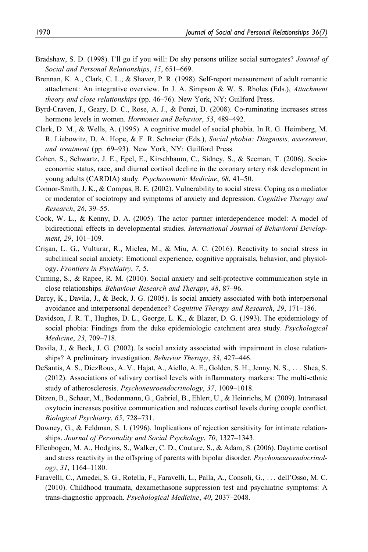- Bradshaw, S. D. (1998). I'll go if you will: Do shy persons utilize social surrogates? Journal of Social and Personal Relationships, 15, 651–669.
- Brennan, K. A., Clark, C. L., & Shaver, P. R. (1998). Self-report measurement of adult romantic attachment: An integrative overview. In J. A. Simpson & W. S. Rholes (Eds.), *Attachment* theory and close relationships (pp. 46–76). New York, NY: Guilford Press.
- Byrd-Craven, J., Geary, D. C., Rose, A. J., & Ponzi, D. (2008). Co-ruminating increases stress hormone levels in women. Hormones and Behavior, 53, 489-492.
- Clark, D. M., & Wells, A. (1995). A cognitive model of social phobia. In R. G. Heimberg, M. R. Liebowitz, D. A. Hope, & F. R. Schneier (Eds.), Social phobia: Diagnosis, assessment, and treatment (pp. 69–93). New York, NY: Guilford Press.
- Cohen, S., Schwartz, J. E., Epel, E., Kirschbaum, C., Sidney, S., & Seeman, T. (2006). Socioeconomic status, race, and diurnal cortisol decline in the coronary artery risk development in young adults (CARDIA) study. Psychosomatic Medicine, 68, 41–50.
- Connor-Smith, J. K., & Compas, B. E. (2002). Vulnerability to social stress: Coping as a mediator or moderator of sociotropy and symptoms of anxiety and depression. Cognitive Therapy and Research, 26, 39–55.
- Cook, W. L., & Kenny, D. A. (2005). The actor–partner interdependence model: A model of bidirectional effects in developmental studies. International Journal of Behavioral Development, 29, 101-109.
- Crisan, L. G., Vulturar, R., Miclea, M., & Miu, A. C. (2016). Reactivity to social stress in subclinical social anxiety: Emotional experience, cognitive appraisals, behavior, and physiology. Frontiers in Psychiatry, 7, 5.
- Cuming, S., & Rapee, R. M. (2010). Social anxiety and self-protective communication style in close relationships. Behaviour Research and Therapy, 48, 87–96.
- Darcy, K., Davila, J., & Beck, J. G. (2005). Is social anxiety associated with both interpersonal avoidance and interpersonal dependence? Cognitive Therapy and Research, 29, 171–186.
- Davidson, J. R. T., Hughes, D. L., George, L. K., & Blazer, D. G. (1993). The epidemiology of social phobia: Findings from the duke epidemiologic catchment area study. Psychological Medicine, 23, 709–718.
- Davila, J., & Beck, J. G. (2002). Is social anxiety associated with impairment in close relationships? A preliminary investigation. Behavior Therapy, 33, 427–446.
- DeSantis, A. S., DiezRoux, A. V., Hajat, A., Aiello, A. E., Golden, S. H., Jenny, N. S., ... Shea, S. (2012). Associations of salivary cortisol levels with inflammatory markers: The multi-ethnic study of atherosclerosis. Psychoneuroendocrinology, 37, 1009–1018.
- Ditzen, B., Schaer, M., Bodenmann, G., Gabriel, B., Ehlert, U., & Heinrichs, M. (2009). Intranasal oxytocin increases positive communication and reduces cortisol levels during couple conflict. Biological Psychiatry, 65, 728–731.
- Downey, G., & Feldman, S. I. (1996). Implications of rejection sensitivity for intimate relationships. Journal of Personality and Social Psychology, 70, 1327–1343.
- Ellenbogen, M. A., Hodgins, S., Walker, C. D., Couture, S., & Adam, S. (2006). Daytime cortisol and stress reactivity in the offspring of parents with bipolar disorder. *Psychoneuroendocrinol*ogy, 31, 1164–1180.
- Faravelli, C., Amedei, S. G., Rotella, F., Faravelli, L., Palla, A., Consoli, G., ... dell'Osso, M. C. (2010). Childhood traumata, dexamethasone suppression test and psychiatric symptoms: A trans-diagnostic approach. Psychological Medicine, 40, 2037–2048.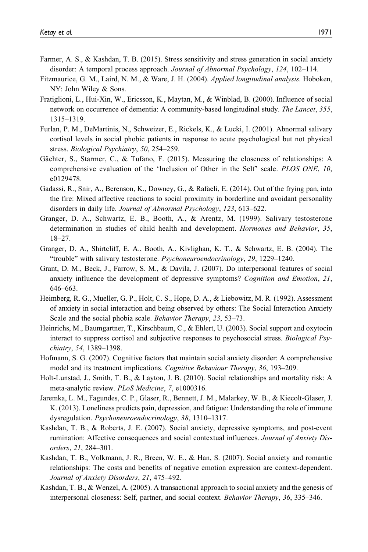- Farmer, A. S., & Kashdan, T. B. (2015). Stress sensitivity and stress generation in social anxiety disorder: A temporal process approach. Journal of Abnormal Psychology, 124, 102–114.
- Fitzmaurice, G. M., Laird, N. M., & Ware, J. H. (2004). Applied longitudinal analysis. Hoboken, NY: John Wiley & Sons.
- Fratiglioni, L., Hui-Xin, W., Ericsson, K., Maytan, M., & Winblad, B. (2000). Influence of social network on occurrence of dementia: A community-based longitudinal study. The Lancet, 355, 1315–1319.
- Furlan, P. M., DeMartinis, N., Schweizer, E., Rickels, K., & Lucki, I. (2001). Abnormal salivary cortisol levels in social phobic patients in response to acute psychological but not physical stress. Biological Psychiatry, 50, 254–259.
- Gächter, S., Starmer, C., & Tufano, F. (2015). Measuring the closeness of relationships: A comprehensive evaluation of the 'Inclusion of Other in the Self' scale. PLOS ONE, 10, e0129478.
- Gadassi, R., Snir, A., Berenson, K., Downey, G., & Rafaeli, E. (2014). Out of the frying pan, into the fire: Mixed affective reactions to social proximity in borderline and avoidant personality disorders in daily life. Journal of Abnormal Psychology, 123, 613–622.
- Granger, D. A., Schwartz, E. B., Booth, A., & Arentz, M. (1999). Salivary testosterone determination in studies of child health and development. Hormones and Behavior, 35, 18–27.
- Granger, D. A., Shirtcliff, E. A., Booth, A., Kivlighan, K. T., & Schwartz, E. B. (2004). The "trouble" with salivary testosterone. Psychoneuroendocrinology, 29, 1229–1240.
- Grant, D. M., Beck, J., Farrow, S. M., & Davila, J. (2007). Do interpersonal features of social anxiety influence the development of depressive symptoms? Cognition and Emotion, 21, 646–663.
- Heimberg, R. G., Mueller, G. P., Holt, C. S., Hope, D. A., & Liebowitz, M. R. (1992). Assessment of anxiety in social interaction and being observed by others: The Social Interaction Anxiety Scale and the social phobia scale. Behavior Therapy, 23, 53–73.
- Heinrichs, M., Baumgartner, T., Kirschbaum, C., & Ehlert, U. (2003). Social support and oxytocin interact to suppress cortisol and subjective responses to psychosocial stress. Biological Psychiatry, 54, 1389–1398.
- Hofmann, S. G. (2007). Cognitive factors that maintain social anxiety disorder: A comprehensive model and its treatment implications. Cognitive Behaviour Therapy, 36, 193–209.
- Holt-Lunstad, J., Smith, T. B., & Layton, J. B. (2010). Social relationships and mortality risk: A meta-analytic review. PLoS Medicine, 7, e1000316.
- Jaremka, L. M., Fagundes, C. P., Glaser, R., Bennett, J. M., Malarkey, W. B., & Kiecolt-Glaser, J. K. (2013). Loneliness predicts pain, depression, and fatigue: Understanding the role of immune dysregulation. Psychoneuroendocrinology, 38, 1310–1317.
- Kashdan, T. B., & Roberts, J. E. (2007). Social anxiety, depressive symptoms, and post-event rumination: Affective consequences and social contextual influences. Journal of Anxiety Disorders, 21, 284–301.
- Kashdan, T. B., Volkmann, J. R., Breen, W. E., & Han, S. (2007). Social anxiety and romantic relationships: The costs and benefits of negative emotion expression are context-dependent. Journal of Anxiety Disorders, 21, 475–492.
- Kashdan, T. B., & Wenzel, A. (2005). A transactional approach to social anxiety and the genesis of interpersonal closeness: Self, partner, and social context. Behavior Therapy, 36, 335–346.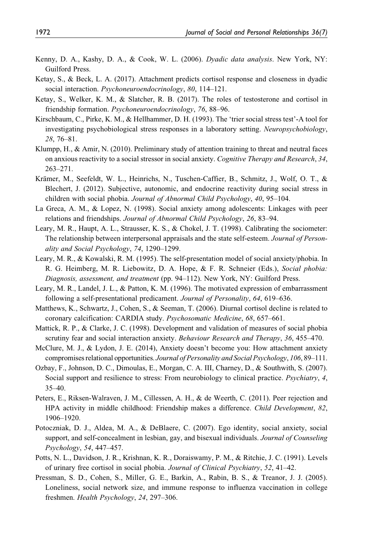- Kenny, D. A., Kashy, D. A., & Cook, W. L. (2006). Dyadic data analysis. New York, NY: Guilford Press.
- Ketay, S., & Beck, L. A. (2017). Attachment predicts cortisol response and closeness in dyadic social interaction. *Psychoneuroendocrinology*, 80, 114–121.
- Ketay, S., Welker, K. M., & Slatcher, R. B. (2017). The roles of testosterone and cortisol in friendship formation. Psychoneuroendocrinology, 76, 88–96.
- Kirschbaum, C., Pirke, K. M., & Hellhammer, D. H. (1993). The 'trier social stress test'-A tool for investigating psychobiological stress responses in a laboratory setting. Neuropsychobiology, 28, 76–81.
- Klumpp, H., & Amir, N. (2010). Preliminary study of attention training to threat and neutral faces on anxious reactivity to a social stressor in social anxiety. Cognitive Therapy and Research, 34, 263–271.
- Krämer, M., Seefeldt, W. L., Heinrichs, N., Tuschen-Caffier, B., Schmitz, J., Wolf, O. T., & Blechert, J. (2012). Subjective, autonomic, and endocrine reactivity during social stress in children with social phobia. Journal of Abnormal Child Psychology, 40, 95–104.
- La Greca, A. M., & Lopez, N. (1998). Social anxiety among adolescents: Linkages with peer relations and friendships. Journal of Abnormal Child Psychology, 26, 83–94.
- Leary, M. R., Haupt, A. L., Strausser, K. S., & Chokel, J. T. (1998). Calibrating the sociometer: The relationship between interpersonal appraisals and the state self-esteem. Journal of Personality and Social Psychology, 74, 1290–1299.
- Leary, M. R., & Kowalski, R. M. (1995). The self-presentation model of social anxiety/phobia. In R. G. Heimberg, M. R. Liebowitz, D. A. Hope, & F. R. Schneier (Eds.), Social phobia: Diagnosis, assessment, and treatment (pp. 94–112). New York, NY: Guilford Press.
- Leary, M. R., Landel, J. L., & Patton, K. M. (1996). The motivated expression of embarrassment following a self-presentational predicament. Journal of Personality, 64, 619–636.
- Matthews, K., Schwartz, J., Cohen, S., & Seeman, T. (2006). Diurnal cortisol decline is related to coronary calcification: CARDIA study. Psychosomatic Medicine, 68, 657–661.
- Mattick, R. P., & Clarke, J. C. (1998). Development and validation of measures of social phobia scrutiny fear and social interaction anxiety. Behaviour Research and Therapy, 36, 455–470.
- McClure, M. J., & Lydon, J. E. (2014), Anxiety doesn't become you: How attachment anxiety compromises relational opportunities. Journal of Personality and Social Psychology, 106, 89–111.
- Ozbay, F., Johnson, D. C., Dimoulas, E., Morgan, C. A. III, Charney, D., & Southwith, S. (2007). Social support and resilience to stress: From neurobiology to clinical practice. Psychiatry, 4, 35–40.
- Peters, E., Riksen-Walraven, J. M., Cillessen, A. H., & de Weerth, C. (2011). Peer rejection and HPA activity in middle childhood: Friendship makes a difference. Child Development, 82, 1906–1920.
- Potoczniak, D. J., Aldea, M. A., & DeBlaere, C. (2007). Ego identity, social anxiety, social support, and self-concealment in lesbian, gay, and bisexual individuals. Journal of Counseling Psychology, 54, 447–457.
- Potts, N. L., Davidson, J. R., Krishnan, K. R., Doraiswamy, P. M., & Ritchie, J. C. (1991). Levels of urinary free cortisol in social phobia. Journal of Clinical Psychiatry, 52, 41–42.
- Pressman, S. D., Cohen, S., Miller, G. E., Barkin, A., Rabin, B. S., & Treanor, J. J. (2005). Loneliness, social network size, and immune response to influenza vaccination in college freshmen. Health Psychology, 24, 297–306.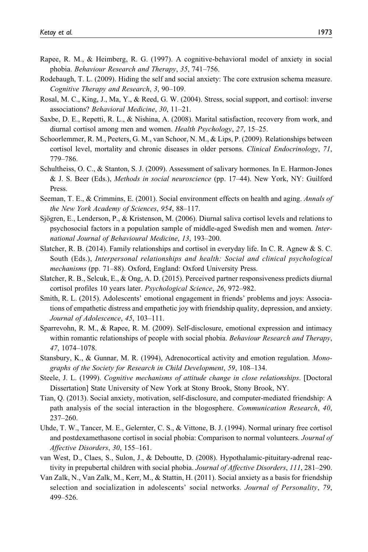- Rapee, R. M., & Heimberg, R. G. (1997). A cognitive-behavioral model of anxiety in social phobia. Behaviour Research and Therapy, 35, 741–756.
- Rodebaugh, T. L. (2009). Hiding the self and social anxiety: The core extrusion schema measure. Cognitive Therapy and Research, 3, 90–109.
- Rosal, M. C., King, J., Ma, Y., & Reed, G. W. (2004). Stress, social support, and cortisol: inverse associations? Behavioral Medicine, 30, 11–21.
- Saxbe, D. E., Repetti, R. L., & Nishina, A. (2008). Marital satisfaction, recovery from work, and diurnal cortisol among men and women. Health Psychology, 27, 15–25.
- Schoorlemmer, R. M., Peeters, G. M., van Schoor, N. M., & Lips, P. (2009). Relationships between cortisol level, mortality and chronic diseases in older persons. Clinical Endocrinology, 71, 779–786.
- Schultheiss, O. C., & Stanton, S. J. (2009). Assessment of salivary hormones. In E. Harmon-Jones & J. S. Beer (Eds.), Methods in social neuroscience (pp. 17–44). New York, NY: Guilford Press.
- Seeman, T. E., & Crimmins, E. (2001). Social environment effects on health and aging. Annals of the New York Academy of Sciences, 954, 88–117.
- Sjögren, E., Lenderson, P., & Kristenson, M. (2006). Diurnal saliva cortisol levels and relations to psychosocial factors in a population sample of middle-aged Swedish men and women. International Journal of Behavioural Medicine, 13, 193–200.
- Slatcher, R. B. (2014). Family relationships and cortisol in everyday life. In C. R. Agnew & S. C. South (Eds.), Interpersonal relationships and health: Social and clinical psychological mechanisms (pp. 71–88). Oxford, England: Oxford University Press.
- Slatcher, R. B., Selcuk, E., & Ong, A. D. (2015). Perceived partner responsiveness predicts diurnal cortisol profiles 10 years later. Psychological Science, 26, 972–982.
- Smith, R. L. (2015). Adolescents' emotional engagement in friends' problems and joys: Associations of empathetic distress and empathetic joy with friendship quality, depression, and anxiety. Journal of Adolescence, 45, 103–111.
- Sparrevohn, R. M., & Rapee, R. M. (2009). Self-disclosure, emotional expression and intimacy within romantic relationships of people with social phobia. Behaviour Research and Therapy, 47, 1074–1078.
- Stansbury, K., & Gunnar, M. R. (1994), Adrenocortical activity and emotion regulation. Monographs of the Society for Research in Child Development, 59, 108–134.
- Steele, J. L. (1999). Cognitive mechanisms of attitude change in close relationships. [Doctoral Dissertation] State University of New York at Stony Brook, Stony Brook, NY.
- Tian, Q. (2013). Social anxiety, motivation, self-disclosure, and computer-mediated friendship: A path analysis of the social interaction in the blogosphere. Communication Research, 40, 237–260.
- Uhde, T. W., Tancer, M. E., Gelernter, C. S., & Vittone, B. J. (1994). Normal urinary free cortisol and postdexamethasone cortisol in social phobia: Comparison to normal volunteers. Journal of Affective Disorders, 30, 155–161.
- van West, D., Claes, S., Sulon, J., & Deboutte, D. (2008). Hypothalamic-pituitary-adrenal reactivity in prepubertal children with social phobia. Journal of Affective Disorders, 111, 281–290.
- Van Zalk, N., Van Zalk, M., Kerr, M., & Stattin, H. (2011). Social anxiety as a basis for friendship selection and socialization in adolescents' social networks. Journal of Personality, 79, 499–526.